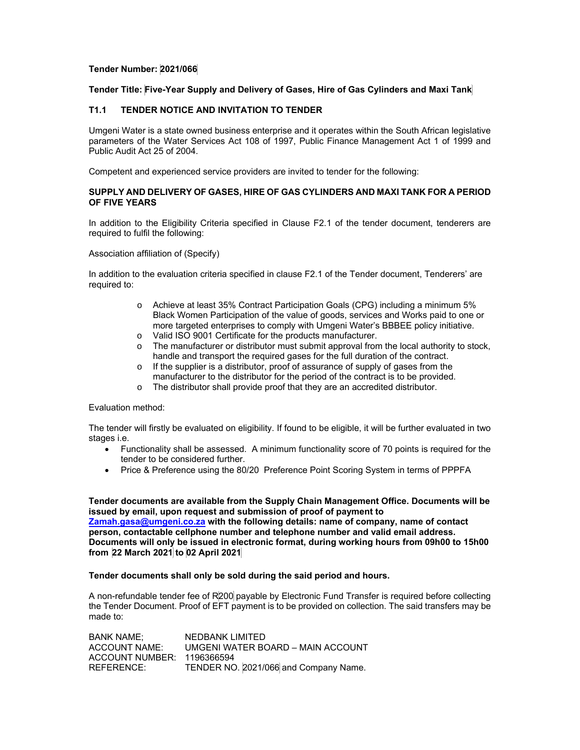# **Tender Number: 2021/066**

#### **Tender Title: Five-Year Supply and Delivery of Gases, Hire of Gas Cylinders and Maxi Tank**

# **T1.1 TENDER NOTICE AND INVITATION TO TENDER**

Umgeni Water is a state owned business enterprise and it operates within the South African legislative parameters of the Water Services Act 108 of 1997, Public Finance Management Act 1 of 1999 and Public Audit Act 25 of 2004.

Competent and experienced service providers are invited to tender for the following:

# **SUPPLY AND DELIVERY OF GASES, HIRE OF GAS CYLINDERS AND MAXI TANK FOR A PERIOD OF FIVE YEARS**

In addition to the Eligibility Criteria specified in Clause F2.1 of the tender document, tenderers are required to fulfil the following:

Association affiliation of (Specify)

In addition to the evaluation criteria specified in clause F2.1 of the Tender document, Tenderers' are required to:

- o Achieve at least 35% Contract Participation Goals (CPG) including a minimum 5% Black Women Participation of the value of goods, services and Works paid to one or more targeted enterprises to comply with Umgeni Water's BBBEE policy initiative.
- o Valid ISO 9001 Certificate for the products manufacturer.
- o The manufacturer or distributor must submit approval from the local authority to stock, handle and transport the required gases for the full duration of the contract.
- o If the supplier is a distributor, proof of assurance of supply of gases from the manufacturer to the distributor for the period of the contract is to be provided.
- o The distributor shall provide proof that they are an accredited distributor.

#### Evaluation method:

The tender will firstly be evaluated on eligibility. If found to be eligible, it will be further evaluated in two stages i.e.

- Functionality shall be assessed. A minimum functionality score of 70 points is required for the tender to be considered further.
- Price & Preference using the 80/20 Preference Point Scoring System in terms of PPPFA

**Tender documents are available from the Supply Chain Management Office. Documents will be issued by email, upon request and submission of proof of payment to Zamah.gasa@umgeni.co.za with the following details: name of company, name of contact** 

**person, contactable cellphone number and telephone number and valid email address. Documents will only be issued in electronic format, during working hours from 09h00 to 15h00 from 22 March 2021 to 02 April 2021** 

# **Tender documents shall only be sold during the said period and hours.**

A non-refundable tender fee of R200 payable by Electronic Fund Transfer is required before collecting the Tender Document. Proof of EFT payment is to be provided on collection. The said transfers may be made to:

BANK NAME; NEDBANK LIMITED ACCOUNT NAME: UMGENI WATER BOARD – MAIN ACCOUNT ACCOUNT NUMBER: 1196366594 REFERENCE: TENDER NO. 2021/066 and Company Name.